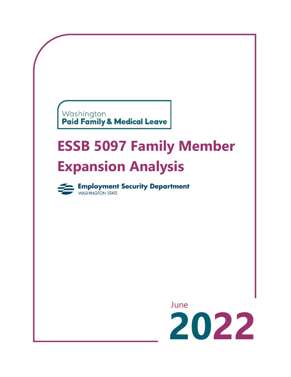# Washington<br>**Paid Family & Medical Leave**

## **ESSB 5097 Family Member Expansion Analysis**



**Employment Security Department** 

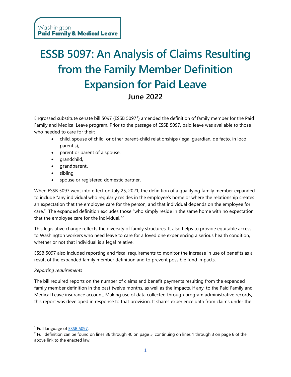### **ESSB 5097: An Analysis of Claims Resulting from the Family Member Definition Expansion for Paid Leave June 2022**

Engrossed substitute senate bill 5097 (ESSB 5097[1](#page-1-0)) amended the definition of family member for the Paid Family and Medical Leave program. Prior to the passage of ESSB 5097, paid leave was available to those who needed to care for their:

- child, spouse of child, or other parent-child relationships (legal guardian, de facto, in loco parentis),
- parent or parent of a spouse,
- grandchild,
- grandparent,
- sibling,
- spouse or registered domestic partner.

When ESSB 5097 went into effect on July 25, 2021, the definition of a qualifying family member expanded to include "any individual who regularly resides in the employee's home or where the relationship creates an expectation that the employee care for the person, and that individual depends on the employee for care." The expanded definition excludes those "who simply reside in the same home with no expectation that the employee care for the individual."[2](#page-1-1)

This legislative change reflects the diversity of family structures. It also helps to provide equitable access to Washington workers who need leave to care for a loved one experiencing a serious health condition, whether or not that individual is a legal relative.

ESSB 5097 also included reporting and fiscal requirements to monitor the increase in use of benefits as a result of the expanded family member definition and to prevent possible fund impacts.

#### *Reporting requirements*

The bill required reports on the number of claims and benefit payments resulting from the expanded family member definition in the past twelve months, as well as the impacts, if any, to the Paid Family and Medical Leave insurance account. Making use of data collected through program administrative records, this report was developed in response to that provision. It shares experience data from claims under the

<span id="page-1-0"></span><sup>1</sup> Full language of [ESSB 5097.](https://lawfilesext.leg.wa.gov/biennium/2021-22/Pdf/Bills/Session%20Laws/Senate/5097-S.SL.pdf?q=20220502202418) 

<span id="page-1-1"></span><sup>&</sup>lt;sup>2</sup> Full definition can be found on lines 36 through 40 on page 5, continuing on lines 1 through 3 on page 6 of the above link to the enacted law.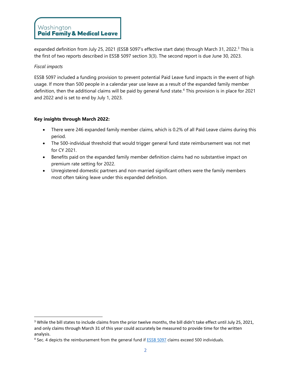expanded definition from July 25, 2021 (ESSB 5097's effective start date) through March [3](#page-2-0)1, 2022.<sup>3</sup> This is the first of two reports described in ESSB 5097 section 3(3). The second report is due June 30, 2023.

#### *Fiscal impacts*

ESSB 5097 included a funding provision to prevent potential Paid Leave fund impacts in the event of high usage. If more than 500 people in a calendar year use leave as a result of the expanded family member definition, then the additional claims will be paid by general fund state.<sup>[4](#page-2-1)</sup> This provision is in place for 2021 and 2022 and is set to end by July 1, 2023.

#### **Key insights through March 2022:**

- There were 246 expanded family member claims, which is 0.2% of all Paid Leave claims during this period.
- The 500-individual threshold that would trigger general fund state reimbursement was not met for CY 2021.
- Benefits paid on the expanded family member definition claims had no substantive impact on premium rate setting for 2022.
- Unregistered domestic partners and non-married significant others were the family members most often taking leave under this expanded definition.

<span id="page-2-0"></span><sup>&</sup>lt;sup>3</sup> While the bill states to include claims from the prior twelve months, the bill didn't take effect until July 25, 2021, and only claims through March 31 of this year could accurately be measured to provide time for the written analysis.

<span id="page-2-1"></span><sup>&</sup>lt;sup>4</sup> Sec. 4 depicts the reimbursement from the general fund if **ESSB 5097** claims exceed 500 individuals.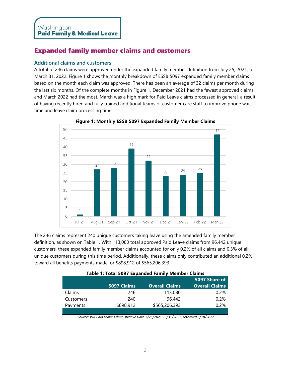#### Expanded family member claims and customers

#### **Additional claims and customers**

A total of 246 claims were approved under the expanded family member definition from July 25, 2021, to March 31, 2022. Figure 1 shows the monthly breakdown of ESSB 5097 expanded family member claims based on the month each claim was approved. There has been an average of 32 claims per month during the last six months. Of the complete months in Figure 1, December 2021 had the fewest approved claims and March 2022 had the most. March was a high mark for Paid Leave claims processed in general, a result of having recently hired and fully trained additional teams of customer care staff to improve phone wait time and leave claim processing time.



**Figure 1: Monthly ESSB 5097 Expanded Family Member Claims**

The 246 claims represent 240 unique customers taking leave using the amended family member definition, as shown on Table 1. With 113,080 total approved Paid Leave claims from 96,442 unique customers, these expanded family member claims accounted for only 0.2% of all claims and 0.3% of all unique customers during this time period. Additionally, these claims only contributed an additional 0.2% toward all benefits payments made, or \$898,912 of \$565,206,393.

|           |             |                       | 5097 Share of         |
|-----------|-------------|-----------------------|-----------------------|
|           | 5097 Claims | <b>Overall Claims</b> | <b>Overall Claims</b> |
| Claims    | 246         | 113,080               | 0.2%                  |
| Customers | 240         | 96,442                | 0.2%                  |
| Payments  | \$898,912   | \$565,206,393         | 0.2%                  |
|           |             |                       |                       |

|  | Table 1: Total 5097 Expanded Family Member Claims |  |  |  |
|--|---------------------------------------------------|--|--|--|
|--|---------------------------------------------------|--|--|--|

*Source: WA Paid Leave Administrative Data 7/25/2021 - 3/31/2022, retrieved 5/18/2022*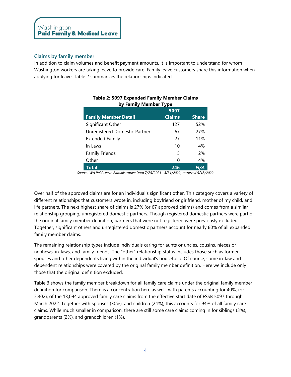#### **Claims by family member**

In addition to claim volumes and benefit payment amounts, it is important to understand for whom Washington workers are taking leave to provide care. Family leave customers share this information when applying for leave. Table 2 summarizes the relationships indicated.

| by Falling Member Type        |               |              |  |
|-------------------------------|---------------|--------------|--|
|                               | 5097          |              |  |
| <b>Family Member Detail</b>   | <b>Claims</b> | <b>Share</b> |  |
| Significant Other             | 127           | 52%          |  |
| Unregistered Domestic Partner | 67            | 27%          |  |
| <b>Extended Family</b>        | 27            | 11%          |  |
| In Laws                       | 10            | 4%           |  |
| <b>Family Friends</b>         | 5             | 2%           |  |
| Other                         | 10            | 4%           |  |
| Total                         | 246           | N/A          |  |

#### **Table 2: 5097 Expanded Family Member Claims by Family Member Type**

*Source: WA Paid Leave Administrative Data 7/25/2021 - 3/31/2022, retrieved 5/18/2022*

Over half of the approved claims are for an individual's significant other. This category covers a variety of different relationships that customers wrote in, including boyfriend or girlfriend, mother of my child, and life partners. The next highest share of claims is 27% (or 67 approved claims) and comes from a similar relationship grouping, unregistered domestic partners. Though registered domestic partners were part of the original family member definition, partners that were not registered were previously excluded. Together, significant others and unregistered domestic partners account for nearly 80% of all expanded family member claims.

The remaining relationship types include individuals caring for aunts or uncles, cousins, nieces or nephews, in-laws, and family friends. The "other" relationship status includes those such as former spouses and other dependents living within the individual's household. Of course, some in-law and dependent relationships were covered by the original family member definition. Here we include only those that the original definition excluded.

Table 3 shows the family member breakdown for all family care claims under the original family member definition for comparison. There is a concentration here as well, with parents accounting for 40%, (or 5,302), of the 13,094 approved family care claims from the effective start date of ESSB 5097 through March 2022. Together with spouses (30%), and children (24%), this accounts for 94% of all family care claims. While much smaller in comparison, there are still some care claims coming in for siblings (3%), grandparents (2%), and grandchildren (1%).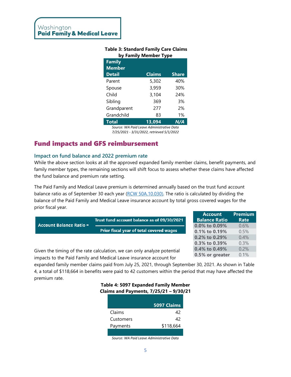| by Family Member Type |                    |              |  |
|-----------------------|--------------------|--------------|--|
| <b>Family</b>         |                    |              |  |
| <b>Member</b>         |                    |              |  |
| <b>Detail</b>         | <b>Claims</b>      | <b>Share</b> |  |
| Parent                | 5,302              | 40%          |  |
| Spouse                | 3,959              | 30%          |  |
| Child                 | 3,104              | 24%          |  |
| Sibling               | 369                | 3%           |  |
| Grandparent           | 277                | 2%           |  |
| Grandchild            | 83                 | 1%           |  |
| <b>Total</b>          | 13,094<br>$\cdots$ | N/A          |  |

**Table 3: Standard Family Care Claims** 

*Source: WA Paid Leave Administrative Data 7/25/2021 - 3/31/2022, retrieved 5/1/2022*

#### Fund impacts and GFS reimbursement

#### **Impact on fund balance and 2022 premium rate**

While the above section looks at all the approved expanded family member claims, benefit payments, and family member types, the remaining sections will shift focus to assess whether these claims have affected the fund balance and premium rate setting.

The Paid Family and Medical Leave premium is determined annually based on the trust fund account balance ratio as of September 30 each year [\(RCW 50A.10.030\)](https://app.leg.wa.gov/RCW/default.aspx?cite=50A.10.030). The ratio is calculated by dividing the balance of the Paid Family and Medical Leave insurance account by total gross covered wages for the prior fiscal year.

|                                                                                                                                                                                                                                 |                                                 | Account              | <u>rielillulli</u> |
|---------------------------------------------------------------------------------------------------------------------------------------------------------------------------------------------------------------------------------|-------------------------------------------------|----------------------|--------------------|
|                                                                                                                                                                                                                                 | Trust fund account balance as of 09/30/2021     | <b>Balance Ratio</b> | Rate               |
| <b>Account Balance Ratio =</b>                                                                                                                                                                                                  |                                                 | $0.0\%$ to $0.09\%$  | 0.6%               |
|                                                                                                                                                                                                                                 | <b>Prior fiscal year of total covered wages</b> | $0.1\%$ to $0.19\%$  | 0.5%               |
|                                                                                                                                                                                                                                 |                                                 | $0.2\%$ to $0.29\%$  | 0.4%               |
|                                                                                                                                                                                                                                 |                                                 | 0.3% to 0.39%        | 0.3%               |
| $\sim$ . The set of the set of the set of the set of the set of the set of the set of the set of the set of the set of the set of the set of the set of the set of the set of the set of the set of the set of the set of the s |                                                 | $0.4\%$ to 0.49%     |                    |

 $A = 1.1$ 

0.5% or greater

 $D<sub>trans</sub>$ 

 $0.1%$ 

Given the timing of the rate calculation, we can only analyze potential impacts to the Paid Family and Medical Leave insurance account for

expanded family member claims paid from July 25, 2021, through September 30, 2021. As shown in Table 4, a total of \$118,664 in benefits were paid to 42 customers within the period that may have affected the premium rate.

#### **Table 4: 5097 Expanded Family Member Claims and Payments, 7/25/21 – 9/30/21**

|           | 5097 Claims |
|-----------|-------------|
| Claims    | 42          |
| Customers | 42          |
| Payments  | \$118,664   |
|           |             |

*Source: WA Paid Leave Administrative Data*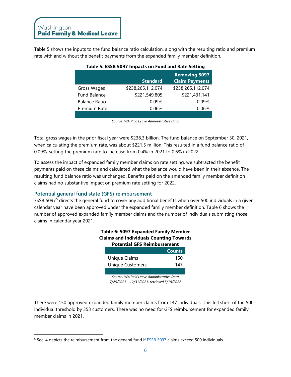Table 5 shows the inputs to the fund balance ratio calculation, along with the resulting ratio and premium rate with and without the benefit payments from the expanded family member definition.

| , apic 5. E99D 9097 mipacts on Fana and nate 9etting |                   |                                               |  |
|------------------------------------------------------|-------------------|-----------------------------------------------|--|
|                                                      | <b>Standard</b>   | <b>Removing 5097</b><br><b>Claim Payments</b> |  |
| Gross Wages                                          | \$238,265,112,074 | \$238,265,112,074                             |  |
| <b>Fund Balance</b>                                  | \$221,549,805     | \$221,431,141                                 |  |
| <b>Balance Ratio</b>                                 | 0.09%             | 0.09%                                         |  |
| Premium Rate                                         | 0.06%             | 0.06%                                         |  |
|                                                      |                   |                                               |  |

#### **Table 5: ESSB 5097 Impacts on Fund and Rate Setting**

*Source: WA Paid Leave Administrative Data*

Total gross wages in the prior fiscal year were \$238.3 billion. The fund balance on September 30, 2021, when calculating the premium rate, was about \$221.5 million. This resulted in a fund balance ratio of 0.09%, setting the premium rate to increase from 0.4% in 2021 to 0.6% in 2022.

To assess the impact of expanded family member claims on rate setting, we subtracted the benefit payments paid on these claims and calculated what the balance would have been in their absence. The resulting fund balance ratio was unchanged. Benefits paid on the amended family member definition claims had no substantive impact on premium rate setting for 2022.

#### **Potential general fund state (GFS) reimbursement**

ESSB 5097[5](#page-6-0) directs the general fund to cover any additional benefits when over 500 individuals in a given calendar year have been approved under the expanded family member definition. Table 6 shows the number of approved expanded family member claims and the number of individuals submitting those claims in calendar year 2021.

| Table 6: 5097 Expanded Family Member<br><b>Claims and Individuals Counting Towards</b><br><b>Potential GFS Reimbursement</b> |                         |               |  |
|------------------------------------------------------------------------------------------------------------------------------|-------------------------|---------------|--|
|                                                                                                                              |                         | <b>Counts</b> |  |
|                                                                                                                              | Unique Claims           | 150           |  |
|                                                                                                                              | <b>Unique Customers</b> | 147           |  |
|                                                                                                                              |                         |               |  |
| Source: WA Paid Leave Administrative Data                                                                                    |                         |               |  |

*Source: WA Paid Leave Administrative Data 7/25/2021 – 12/31/2021, retrieved 5/18/2022*

There were 150 approved expanded family member claims from 147 individuals. This fell short of the 500 individual threshold by 353 customers. There was no need for GFS reimbursement for expanded family member claims in 2021.

<span id="page-6-0"></span><sup>&</sup>lt;sup>5</sup> Sec. 4 depicts the reimbursement from the general fund if **ESSB 5097** claims exceed 500 individuals.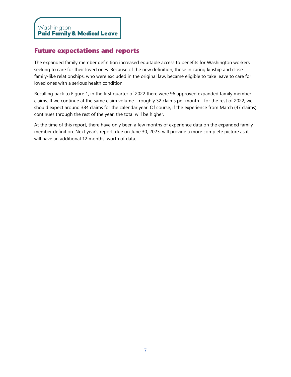#### Future expectations and reports

The expanded family member definition increased equitable access to benefits for Washington workers seeking to care for their loved ones. Because of the new definition, those in caring kinship and close family-like relationships, who were excluded in the original law, became eligible to take leave to care for loved ones with a serious health condition.

Recalling back to Figure 1, in the first quarter of 2022 there were 96 approved expanded family member claims. If we continue at the same claim volume – roughly 32 claims per month – for the rest of 2022, we should expect around 384 claims for the calendar year. Of course, if the experience from March (47 claims) continues through the rest of the year, the total will be higher.

At the time of this report, there have only been a few months of experience data on the expanded family member definition. Next year's report, due on June 30, 2023, will provide a more complete picture as it will have an additional 12 months' worth of data.